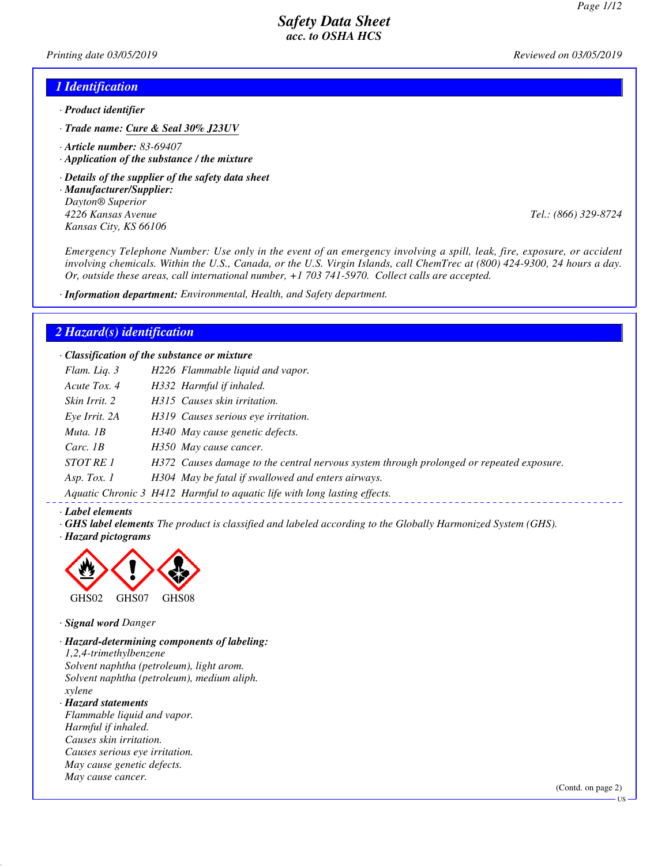*Printing date 03/05/2019 Reviewed on 03/05/2019*

### *1 Identification*

- *· Product identifier*
- *· Trade name: Cure & Seal 30% J23UV*
- *· Article number: 83-69407*
- *· Application of the substance / the mixture*
- *· Details of the supplier of the safety data sheet*
- *· Manufacturer/Supplier: Dayton® Superior 4226 Kansas Avenue Tel.: (866) 329-8724 Kansas City, KS 66106*

*Emergency Telephone Number: Use only in the event of an emergency involving a spill, leak, fire, exposure, or accident involving chemicals. Within the U.S., Canada, or the U.S. Virgin Islands, call ChemTrec at (800) 424-9300, 24 hours a day. Or, outside these areas, call international number, +1 703 741-5970. Collect calls are accepted.*

*· Information department: Environmental, Health, and Safety department.*

### *2 Hazard(s) identification*

*· Classification of the substance or mixture*

| Flam. Lig. 3     | H226 Flammable liquid and vapor.                                                         |
|------------------|------------------------------------------------------------------------------------------|
| Acute Tox. 4     | H332 Harmful if inhaled.                                                                 |
| Skin Irrit. 2    | H315 Causes skin irritation.                                                             |
| Eye Irrit. 2A    | H319 Causes serious eye irritation.                                                      |
| Muta. 1B         | H340 May cause genetic defects.                                                          |
| Carc. $1B$       | H350 May cause cancer.                                                                   |
| <i>STOT RE 1</i> | H372 Causes damage to the central nervous system through prolonged or repeated exposure. |
| Asp. Tox. $1$    | H304 May be fatal if swallowed and enters airways.                                       |
|                  | Aquatic Chronic 3 H412 Harmful to aquatic life with long lasting effects.                |

#### *· Label elements*

*· GHS label elements The product is classified and labeled according to the Globally Harmonized System (GHS).*

*· Hazard pictograms*



#### *· Signal word Danger*

*· Hazard-determining components of labeling: 1,2,4-trimethylbenzene Solvent naphtha (petroleum), light arom. Solvent naphtha (petroleum), medium aliph. xylene*

*· Hazard statements Flammable liquid and vapor. Harmful if inhaled. Causes skin irritation. Causes serious eye irritation. May cause genetic defects. May cause cancer.*

(Contd. on page 2)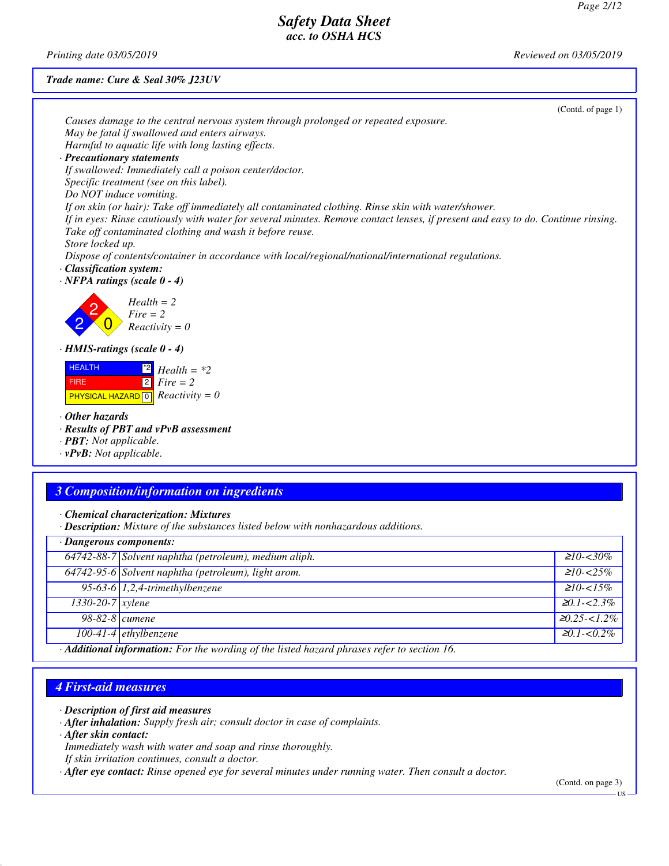*Printing date 03/05/2019 Reviewed on 03/05/2019*

#### *Trade name: Cure & Seal 30% J23UV*

| (Contd. of page $1$ )                                                                                                                                          |
|----------------------------------------------------------------------------------------------------------------------------------------------------------------|
| Causes damage to the central nervous system through prolonged or repeated exposure.                                                                            |
| May be fatal if swallowed and enters airways.                                                                                                                  |
| Harmful to aquatic life with long lasting effects.                                                                                                             |
| · Precautionary statements                                                                                                                                     |
| If swallowed: Immediately call a poison center/doctor.                                                                                                         |
| Specific treatment (see on this label).                                                                                                                        |
| Do NOT induce vomiting.                                                                                                                                        |
| If on skin (or hair): Take off immediately all contaminated clothing. Rinse skin with water/shower.                                                            |
| If in eyes: Rinse cautiously with water for several minutes. Remove contact lenses, if present and easy to do. Continue rinsing.                               |
| Take off contaminated clothing and wash it before reuse.                                                                                                       |
| Store locked up.                                                                                                                                               |
| Dispose of contents/container in accordance with local/regional/national/international regulations.                                                            |
| · Classification system:                                                                                                                                       |
| $\cdot$ NFPA ratings (scale $0 - 4$ )                                                                                                                          |
| $Health = 2$<br>$Fire = 2$<br>$Reactivity = 0$                                                                                                                 |
| $\cdot$ HMIS-ratings (scale 0 - 4)                                                                                                                             |
| <b>HEALTH</b><br>$\begin{bmatrix} 2 \\ 2 \end{bmatrix}$ Health = *2<br>$2$ Fire = 2<br><b>FIRE</b><br><b>PHYSICAL HAZARD</b> $\boxed{0}$ <i>Reactivity</i> = 0 |
| $\cdot$ Other hazards<br>· Results of PBT and vPvB assessment<br>· <b>PBT</b> : Not applicable.<br>$\cdot$ vPvB: Not applicable.                               |
|                                                                                                                                                                |

### *3 Composition/information on ingredients*

*· Chemical characterization: Mixtures*

*· Description: Mixture of the substances listed below with nonhazardous additions.*

| · Dangerous components:       |                                                                                                                      |                    |  |  |
|-------------------------------|----------------------------------------------------------------------------------------------------------------------|--------------------|--|--|
|                               | 64742-88-7 Solvent naphtha (petroleum), medium aliph.                                                                | $\geq 10 - 30\%$   |  |  |
|                               | 64742-95-6 Solvent naphtha (petroleum), light arom.                                                                  | $\geq 10 - 25\%$   |  |  |
|                               | 95-63-6 $1,2,4$ -trimethylbenzene                                                                                    | $\geq 10 - 15\%$   |  |  |
| $1330 - 20 - 7$ <i>xylene</i> |                                                                                                                      | $\geq 0.1 - 2.3\%$ |  |  |
| 98-82-8 <i>cumene</i>         |                                                                                                                      | $20.25 - 1.2\%$    |  |  |
|                               | $100-41-4$ ethylbenzene                                                                                              | $\geq 0.1 - 0.2\%$ |  |  |
|                               | $\mathbf{A}$ and $\mathbf{A}$ are the contracted on $\mathbf{A}$ and $\mathbf{A}$ are the contracted on $\mathbf{A}$ |                    |  |  |

*· Additional information: For the wording of the listed hazard phrases refer to section 16.*

### *4 First-aid measures*

#### *· Description of first aid measures*

*· After inhalation: Supply fresh air; consult doctor in case of complaints.*

*· After skin contact:*

- *Immediately wash with water and soap and rinse thoroughly.*
- *If skin irritation continues, consult a doctor.*

*· After eye contact: Rinse opened eye for several minutes under running water. Then consult a doctor.*

(Contd. on page 3) US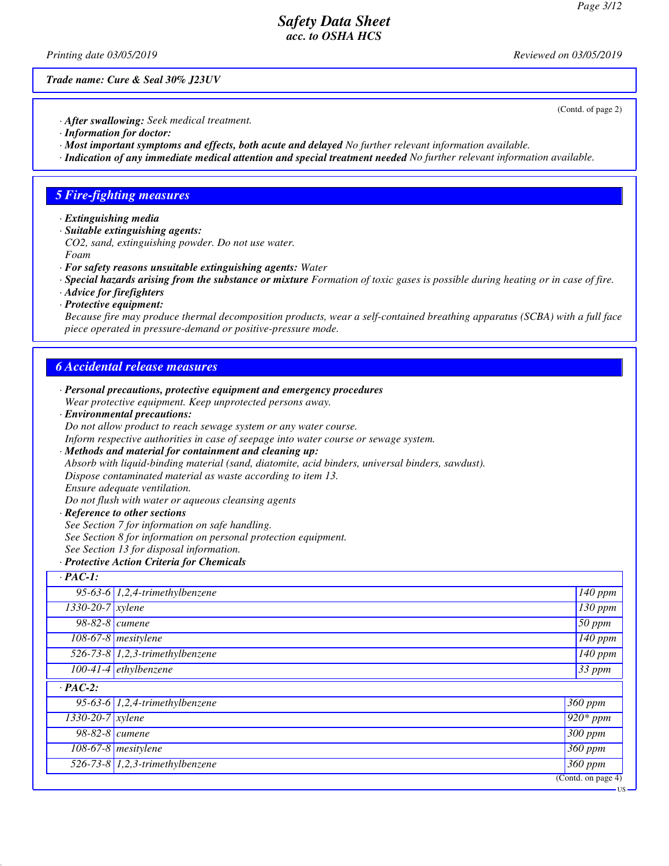(Contd. of page 2)

### *Safety Data Sheet acc. to OSHA HCS*

*Printing date 03/05/2019 Reviewed on 03/05/2019*

*Trade name: Cure & Seal 30% J23UV*

*· After swallowing: Seek medical treatment.*

- *· Information for doctor:*
- *· Most important symptoms and effects, both acute and delayed No further relevant information available.*
- *· Indication of any immediate medical attention and special treatment needed No further relevant information available.*

### *5 Fire-fighting measures*

- *· Extinguishing media*
- *· Suitable extinguishing agents: CO2, sand, extinguishing powder. Do not use water. Foam*
- *· For safety reasons unsuitable extinguishing agents: Water*
- *· Special hazards arising from the substance or mixture Formation of toxic gases is possible during heating or in case of fire.*
- *· Advice for firefighters*
- *· Protective equipment:*

*Because fire may produce thermal decomposition products, wear a self-contained breathing apparatus (SCBA) with a full face piece operated in pressure-demand or positive-pressure mode.*

#### *6 Accidental release measures*

|                                                           | · Personal precautions, protective equipment and emergency procedures                            |                      |  |  |  |
|-----------------------------------------------------------|--------------------------------------------------------------------------------------------------|----------------------|--|--|--|
| Wear protective equipment. Keep unprotected persons away. |                                                                                                  |                      |  |  |  |
|                                                           | · Environmental precautions:                                                                     |                      |  |  |  |
|                                                           | Do not allow product to reach sewage system or any water course.                                 |                      |  |  |  |
|                                                           | Inform respective authorities in case of seepage into water course or sewage system.             |                      |  |  |  |
|                                                           | · Methods and material for containment and cleaning up:                                          |                      |  |  |  |
|                                                           | Absorb with liquid-binding material (sand, diatomite, acid binders, universal binders, sawdust). |                      |  |  |  |
|                                                           | Dispose contaminated material as waste according to item 13.                                     |                      |  |  |  |
|                                                           | Ensure adequate ventilation.                                                                     |                      |  |  |  |
|                                                           | Do not flush with water or aqueous cleansing agents                                              |                      |  |  |  |
|                                                           | · Reference to other sections                                                                    |                      |  |  |  |
|                                                           | See Section 7 for information on safe handling.                                                  |                      |  |  |  |
|                                                           | See Section 8 for information on personal protection equipment.                                  |                      |  |  |  |
|                                                           | See Section 13 for disposal information.                                                         |                      |  |  |  |
| · Protective Action Criteria for Chemicals                |                                                                                                  |                      |  |  |  |
| $\cdot$ PAC-1:                                            |                                                                                                  |                      |  |  |  |
|                                                           | 95-63-6 $1,2,4$ -trimethylbenzene                                                                | 140 ppm              |  |  |  |
| $1330 - 20 - 7$ xylene                                    |                                                                                                  | $\overline{130}$ ppm |  |  |  |
| 98-82-8 <i>cumene</i>                                     |                                                                                                  | 50 ppm               |  |  |  |
|                                                           | 108-67-8 mesitylene                                                                              | $\overline{140}$ ppm |  |  |  |
|                                                           | 526-73-8 $1,2,3$ -trimethylbenzene                                                               | 140 ppm              |  |  |  |
|                                                           | $100-41-4$ ethylbenzene                                                                          | $\overline{33}$ ppm  |  |  |  |
| $\cdot$ PAC-2:                                            |                                                                                                  |                      |  |  |  |
|                                                           | 95-63-6 $1,2,4$ -trimethylbenzene                                                                | 360 ppm              |  |  |  |
| $1330 - 20 - 7$ xylene                                    |                                                                                                  | $920*$ ppm           |  |  |  |
| 98-82-8 <i>cumene</i>                                     |                                                                                                  | 300 ppm              |  |  |  |
|                                                           | $108-67-8$ mesitylene                                                                            | 360 ppm              |  |  |  |
|                                                           | 526-73-8 $1,2,3$ -trimethylbenzene                                                               | $\overline{3}60$ ppm |  |  |  |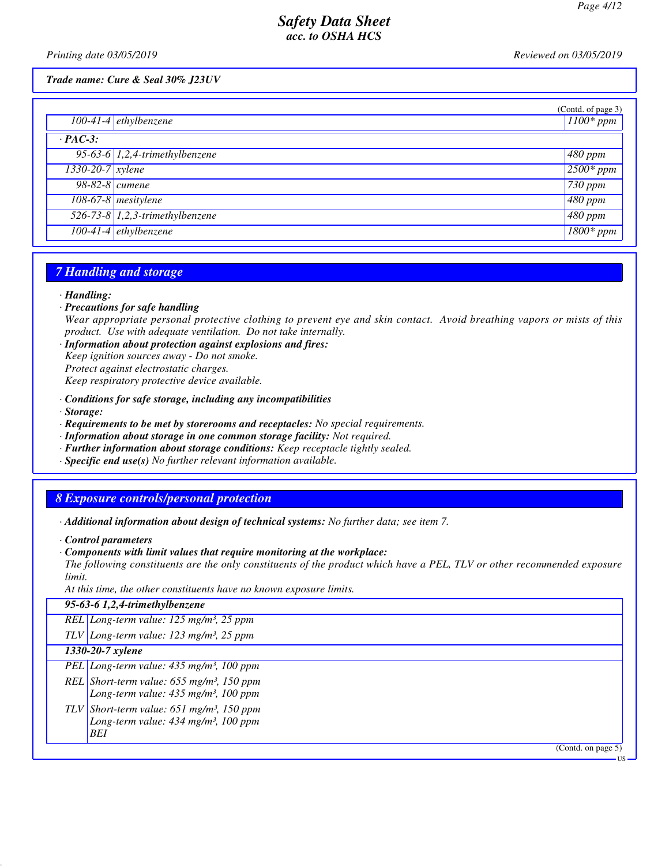*Printing date 03/05/2019 Reviewed on 03/05/2019*

#### *Trade name: Cure & Seal 30% J23UV*

|                  | $100-41-4$ ethylbenzene           | (Contd. of page 3)<br>$1100*$ ppm |
|------------------|-----------------------------------|-----------------------------------|
| $\cdot$ PAC-3:   |                                   |                                   |
|                  | 95-63-6 $1,2,4$ -trimethylbenzene | $480$ ppm                         |
| 1330-20-7 xylene |                                   | $2500*ppm$                        |
| 98-82-8 cumene   |                                   | $730$ ppm                         |
|                  | 108-67-8 mesitylene               | $480$ ppm                         |
|                  | $526-73-8$ 1,2,3-trimethylbenzene | $480$ ppm                         |
|                  | 100-41-4 ethylbenzene             | $1800*ppm$                        |

### *7 Handling and storage*

#### *· Handling:*

*· Precautions for safe handling*

*Wear appropriate personal protective clothing to prevent eye and skin contact. Avoid breathing vapors or mists of this product. Use with adequate ventilation. Do not take internally.*

*· Information about protection against explosions and fires: Keep ignition sources away - Do not smoke. Protect against electrostatic charges.*

*Keep respiratory protective device available.*

- *· Conditions for safe storage, including any incompatibilities*
- *· Storage:*
- *· Requirements to be met by storerooms and receptacles: No special requirements.*
- *· Information about storage in one common storage facility: Not required.*
- *· Further information about storage conditions: Keep receptacle tightly sealed.*
- *· Specific end use(s) No further relevant information available.*

# *8 Exposure controls/personal protection*

*· Additional information about design of technical systems: No further data; see item 7.*

- *· Control parameters*
- *· Components with limit values that require monitoring at the workplace:*

*The following constituents are the only constituents of the product which have a PEL, TLV or other recommended exposure limit.*

*At this time, the other constituents have no known exposure limits.*

| 95-63-6 1,2,4-trimethylbenzene                          |
|---------------------------------------------------------|
| REL Long-term value: $125$ mg/m <sup>3</sup> , 25 ppm   |
| TLV Long-term value: $123$ mg/m <sup>3</sup> , 25 ppm   |
| 1330-20-7 xylene                                        |
| PEL Long-term value: $435$ mg/m <sup>3</sup> , 100 ppm  |
| REL Short-term value: $655$ mg/m <sup>3</sup> , 150 ppm |
| Long-term value: $435$ mg/m <sup>3</sup> , 100 ppm      |
| TLV Short-term value: $651$ mg/m <sup>3</sup> , 150 ppm |
| Long-term value: $434$ mg/m <sup>3</sup> , 100 ppm      |
| <b>BEI</b>                                              |
| (Cond. on page 5)                                       |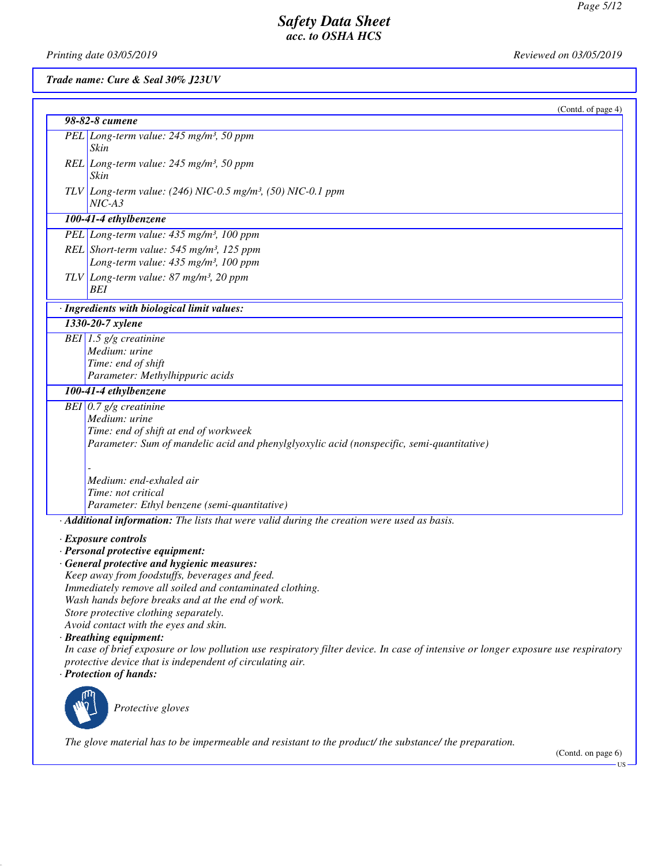*Printing date 03/05/2019 Reviewed on 03/05/2019*

### *Trade name: Cure & Seal 30% J23UV*

| (Contd. of page 4)                                                                                                                 |
|------------------------------------------------------------------------------------------------------------------------------------|
| 98-82-8 cumene                                                                                                                     |
| PEL Long-term value: 245 mg/m <sup>3</sup> , 50 ppm<br>Skin                                                                        |
| REL Long-term value: 245 mg/m <sup>3</sup> , 50 ppm<br>Skin                                                                        |
| TLV Long-term value: $(246)$ NIC-0.5 mg/m <sup>3</sup> , (50) NIC-0.1 ppm<br>$NIC-A3$                                              |
| 100-41-4 ethylbenzene                                                                                                              |
| PEL Long-term value: 435 mg/m <sup>3</sup> , 100 ppm                                                                               |
| $REL$ Short-term value: 545 mg/m <sup>3</sup> , 125 ppm<br>Long-term value: 435 mg/m <sup>3</sup> , 100 ppm                        |
| $TLV$ Long-term value: 87 mg/m <sup>3</sup> , 20 ppm<br>BEI                                                                        |
| · Ingredients with biological limit values:                                                                                        |
| 1330-20-7 xylene                                                                                                                   |
| BEI $1.5$ g/g creatinine                                                                                                           |
| Medium: urine                                                                                                                      |
| Time: end of shift                                                                                                                 |
| Parameter: Methylhippuric acids                                                                                                    |
| 100-41-4 ethylbenzene                                                                                                              |
| BEI $0.7$ g/g creatinine                                                                                                           |
| Medium: urine                                                                                                                      |
| Time: end of shift at end of workweek<br>Parameter: Sum of mandelic acid and phenylglyoxylic acid (nonspecific, semi-quantitative) |
|                                                                                                                                    |
|                                                                                                                                    |
| Medium: end-exhaled air                                                                                                            |
| Time: not critical                                                                                                                 |
| Parameter: Ethyl benzene (semi-quantitative)                                                                                       |
| · Additional information: The lists that were valid during the creation were used as basis.                                        |
| $\cdot$ Exposure controls                                                                                                          |
| · Personal protective equipment:                                                                                                   |
| · General protective and hygienic measures:                                                                                        |
| Keep away from foodstuffs, beverages and feed.                                                                                     |
| Immediately remove all soiled and contaminated clothing.                                                                           |
| Wash hands before breaks and at the end of work.                                                                                   |
| Store protective clothing separately.<br>Avoid contact with the eyes and skin.                                                     |
| · Breathing equipment:                                                                                                             |
| In case of brief exposure or low pollution use respiratory filter device. In case of intensive or longer exposure use respiratory  |
| protective device that is independent of circulating air.                                                                          |
| · Protection of hands:                                                                                                             |
| Protective gloves                                                                                                                  |
| The glove material has to be impermeable and resistant to the product/ the substance/ the preparation.                             |

(Contd. on page 6) US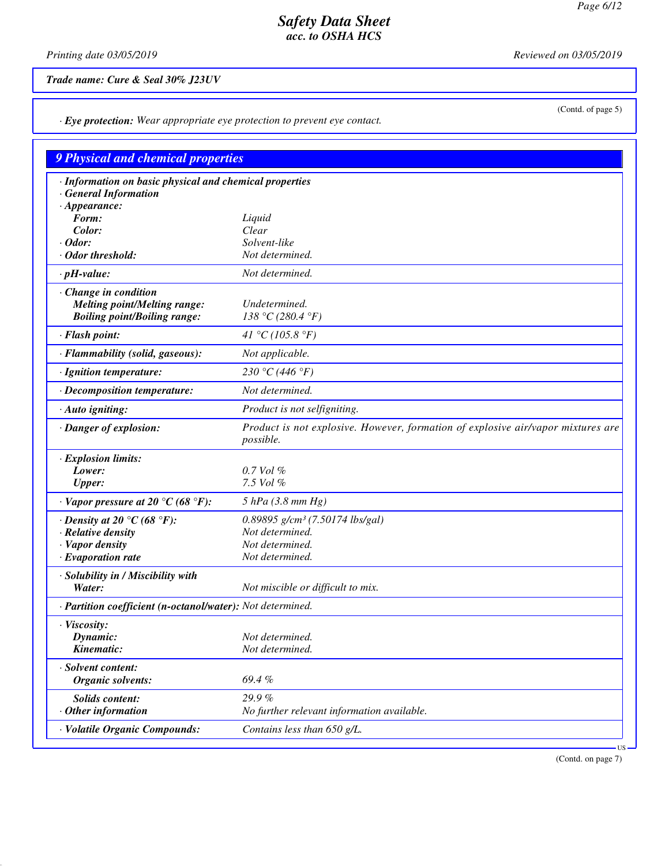(Contd. of page 5)

# *Safety Data Sheet acc. to OSHA HCS*

*Printing date 03/05/2019 Reviewed on 03/05/2019*

*Trade name: Cure & Seal 30% J23UV*

*· Eye protection: Wear appropriate eye protection to prevent eye contact.*

| 9 Physical and chemical properties                                                    |                                                                                               |  |  |  |  |  |
|---------------------------------------------------------------------------------------|-----------------------------------------------------------------------------------------------|--|--|--|--|--|
| · Information on basic physical and chemical properties<br><b>General Information</b> |                                                                                               |  |  |  |  |  |
| $\cdot$ Appearance:                                                                   |                                                                                               |  |  |  |  |  |
| Form:                                                                                 | Liquid                                                                                        |  |  |  |  |  |
| Color:                                                                                | Clear                                                                                         |  |  |  |  |  |
| $\cdot$ Odor:                                                                         | Solvent-like                                                                                  |  |  |  |  |  |
| · Odor threshold:                                                                     | Not determined.                                                                               |  |  |  |  |  |
| $\cdot$ pH-value:                                                                     | Not determined.                                                                               |  |  |  |  |  |
| · Change in condition<br><b>Melting point/Melting range:</b>                          | Undetermined.                                                                                 |  |  |  |  |  |
| <b>Boiling point/Boiling range:</b>                                                   | 138 °C (280.4 °F)                                                                             |  |  |  |  |  |
| · Flash point:                                                                        | 41 °C (105.8 °F)                                                                              |  |  |  |  |  |
| · Flammability (solid, gaseous):                                                      | Not applicable.                                                                               |  |  |  |  |  |
| · Ignition temperature:                                                               | 230 °C (446 °F)                                                                               |  |  |  |  |  |
| · Decomposition temperature:                                                          | Not determined.                                                                               |  |  |  |  |  |
| · Auto igniting:                                                                      | Product is not selfigniting.                                                                  |  |  |  |  |  |
| · Danger of explosion:                                                                | Product is not explosive. However, formation of explosive air/vapor mixtures are<br>possible. |  |  |  |  |  |
| · Explosion limits:                                                                   |                                                                                               |  |  |  |  |  |
| Lower:                                                                                | $0.7$ Vol $%$                                                                                 |  |  |  |  |  |
| <b>Upper:</b>                                                                         | 7.5 Vol %                                                                                     |  |  |  |  |  |
| $\cdot$ Vapor pressure at 20 °C (68 °F):                                              | $5$ hPa (3.8 mm Hg)                                                                           |  |  |  |  |  |
| $\cdot$ Density at 20 °C (68 °F):                                                     | $0.89895$ g/cm <sup>3</sup> (7.50174 lbs/gal)                                                 |  |  |  |  |  |
| · Relative density                                                                    | Not determined.                                                                               |  |  |  |  |  |
| · Vapor density                                                                       | Not determined.                                                                               |  |  |  |  |  |
| $\cdot$ Evaporation rate                                                              | Not determined.                                                                               |  |  |  |  |  |
| · Solubility in / Miscibility with<br>Water:                                          | Not miscible or difficult to mix.                                                             |  |  |  |  |  |
|                                                                                       | · Partition coefficient (n-octanol/water): Not determined.                                    |  |  |  |  |  |
| · Viscositv:                                                                          |                                                                                               |  |  |  |  |  |
| Dynamic:                                                                              | Not determined.                                                                               |  |  |  |  |  |
| Kinematic:                                                                            | Not determined.                                                                               |  |  |  |  |  |
|                                                                                       |                                                                                               |  |  |  |  |  |
| · Solvent content:<br>Organic solvents:                                               | 69.4%                                                                                         |  |  |  |  |  |
| <b>Solids content:</b>                                                                | 29.9%                                                                                         |  |  |  |  |  |
| $·$ Other information                                                                 | No further relevant information available.                                                    |  |  |  |  |  |
| · Volatile Organic Compounds:                                                         | Contains less than 650 g/L.                                                                   |  |  |  |  |  |
|                                                                                       | ·US                                                                                           |  |  |  |  |  |

(Contd. on page 7)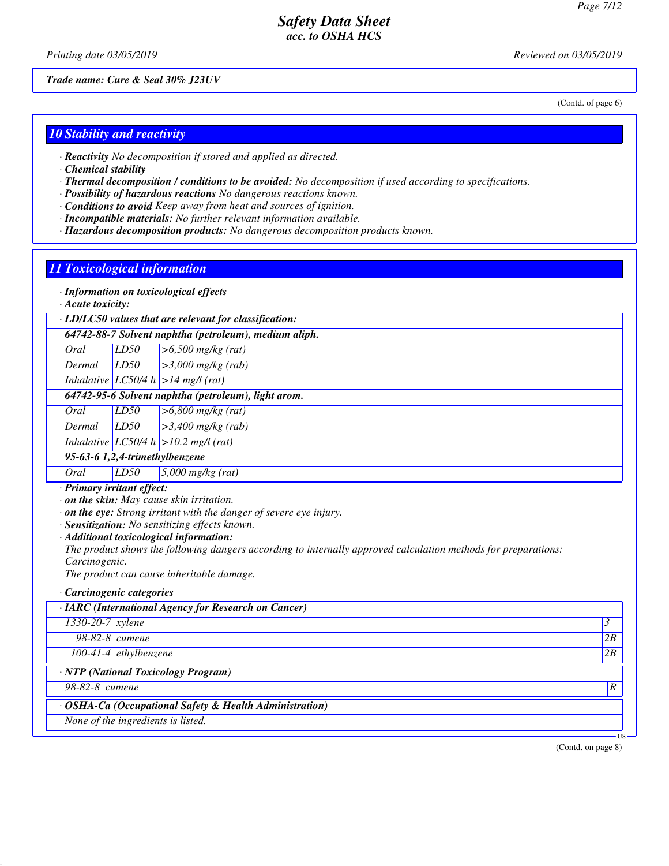*Printing date 03/05/2019 Reviewed on 03/05/2019*

*Trade name: Cure & Seal 30% J23UV*

(Contd. of page 6)

### *10 Stability and reactivity*

*· Reactivity No decomposition if stored and applied as directed.*

- *· Chemical stability*
- *· Thermal decomposition / conditions to be avoided: No decomposition if used according to specifications.*
- *· Possibility of hazardous reactions No dangerous reactions known.*
- *· Conditions to avoid Keep away from heat and sources of ignition.*
- *· Incompatible materials: No further relevant information available.*
- *· Hazardous decomposition products: No dangerous decomposition products known.*

### *11 Toxicological information*

*· Information on toxicological effects*

*· Acute toxicity:*

|  |  |  | $\cdot$ LD/LC50 values that are relevant for classification: |  |
|--|--|--|--------------------------------------------------------------|--|
|  |  |  |                                                              |  |

| 64742-88-7 Solvent naphtha (petroleum), medium aliph. |
|-------------------------------------------------------|
|-------------------------------------------------------|

| Oral | LD50 | $\geq 6,500$ mg/kg (rat) |
|------|------|--------------------------|

*Dermal LD50 >3,000 mg/kg (rab) Inhalative LC50/4 h >14 mg/l (rat)*

*64742-95-6 Solvent naphtha (petroleum), light arom.*

*Oral LD50 >6,800 mg/kg (rat)*

*Dermal LD50 >3,400 mg/kg (rab)*

*Inhalative LC50/4 h >10.2 mg/l (rat)*

# *95-63-6 1,2,4-trimethylbenzene*

*Oral LD50 5,000 mg/kg (rat)*

*· Primary irritant effect:*

*· on the skin: May cause skin irritation.*

*· on the eye: Strong irritant with the danger of severe eye injury.*

- *· Sensitization: No sensitizing effects known.*
- *· Additional toxicological information:*

*The product shows the following dangers according to internally approved calculation methods for preparations: Carcinogenic.*

*The product can cause inheritable damage.*

*· Carcinogenic categories*

| · IARC (International Agency for Research on Cancer)    |                         |    |  |  |  |
|---------------------------------------------------------|-------------------------|----|--|--|--|
| $1330 - 20 - 7$ <i>xylene</i>                           |                         | 3  |  |  |  |
| 98-82-8 <i>cumene</i>                                   |                         | 2B |  |  |  |
|                                                         | $100-41-4$ ethylbenzene | 2B |  |  |  |
| · NTP (National Toxicology Program)                     |                         |    |  |  |  |
| $98-82-8$ cumene<br>ıR.                                 |                         |    |  |  |  |
| · OSHA-Ca (Occupational Safety & Health Administration) |                         |    |  |  |  |
| None of the ingredients is listed.                      |                         |    |  |  |  |
|                                                         |                         | œ  |  |  |  |

(Contd. on page 8)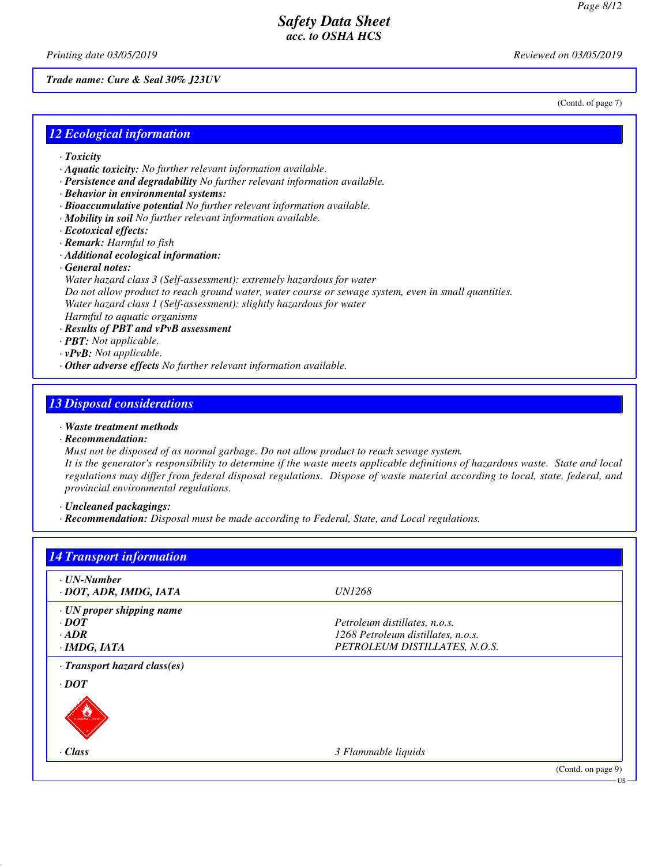(Contd. of page 7)

# *Safety Data Sheet acc. to OSHA HCS*

*Printing date 03/05/2019 Reviewed on 03/05/2019*

#### *Trade name: Cure & Seal 30% J23UV*

*12 Ecological information*

- *· Toxicity*
- *· Aquatic toxicity: No further relevant information available.*
- *· Persistence and degradability No further relevant information available.*
- *· Behavior in environmental systems:*
- *· Bioaccumulative potential No further relevant information available.*
- *· Mobility in soil No further relevant information available.*
- *· Ecotoxical effects:*
- *· Remark: Harmful to fish*
- *· Additional ecological information:*
- *· General notes:*
- *Water hazard class 3 (Self-assessment): extremely hazardous for water Do not allow product to reach ground water, water course or sewage system, even in small quantities. Water hazard class 1 (Self-assessment): slightly hazardous for water*

*Harmful to aquatic organisms*

- *· Results of PBT and vPvB assessment*
- *· PBT: Not applicable.*
- *· vPvB: Not applicable.*
- *· Other adverse effects No further relevant information available.*

### *13 Disposal considerations*

- *· Waste treatment methods*
- *· Recommendation:*
- *Must not be disposed of as normal garbage. Do not allow product to reach sewage system.*

*It is the generator's responsibility to determine if the waste meets applicable definitions of hazardous waste. State and local regulations may differ from federal disposal regulations. Dispose of waste material according to local, state, federal, and provincial environmental regulations.*

*· Uncleaned packagings:*

*· Recommendation: Disposal must be made according to Federal, State, and Local regulations.*

| $\cdot$ UN-Number            |                                    |  |
|------------------------------|------------------------------------|--|
| · DOT, ADR, IMDG, IATA       | <i>UN1268</i>                      |  |
| · UN proper shipping name    |                                    |  |
| $\cdot$ DOT                  | Petroleum distillates, n.o.s.      |  |
| $\cdot$ ADR                  | 1268 Petroleum distillates, n.o.s. |  |
| $\cdot$ IMDG, IATA           | PETROLEUM DISTILLATES, N.O.S.      |  |
| · Transport hazard class(es) |                                    |  |
| $\cdot$ <i>DOT</i>           |                                    |  |
|                              |                                    |  |
| $\cdot$ Class                | 3 Flammable liquids                |  |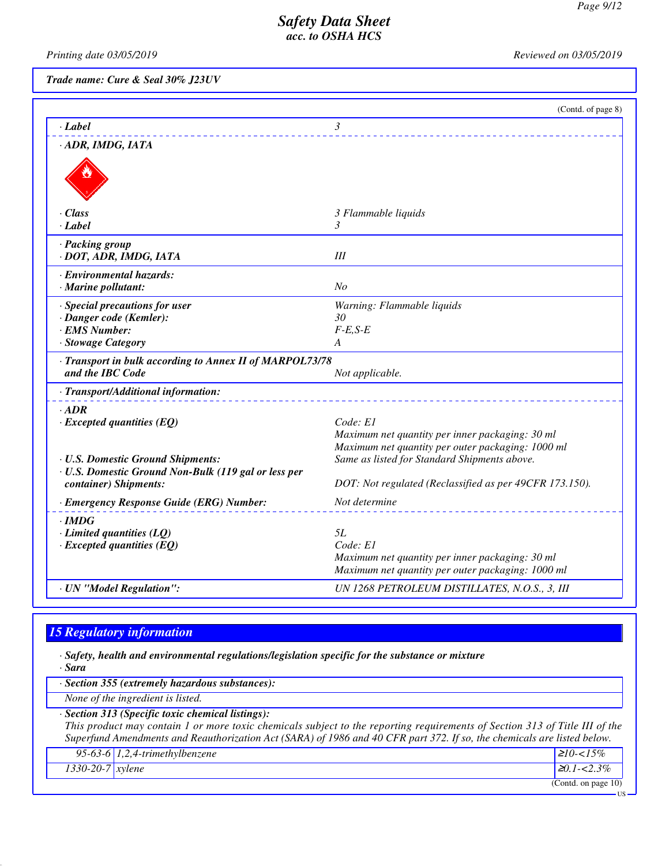US

## *Safety Data Sheet acc. to OSHA HCS*

*Printing date 03/05/2019 Reviewed on 03/05/2019*

*Trade name: Cure & Seal 30% J23UV*

|                                                                                                                     | (Contd. of page 8)                                                                                               |
|---------------------------------------------------------------------------------------------------------------------|------------------------------------------------------------------------------------------------------------------|
| $-Label$                                                                                                            | 3                                                                                                                |
| · ADR, IMDG, IATA                                                                                                   |                                                                                                                  |
|                                                                                                                     |                                                                                                                  |
| · Class                                                                                                             | 3 Flammable liquids                                                                                              |
| $\cdot$ Label                                                                                                       | 3                                                                                                                |
| · Packing group<br>· DOT, ADR, IMDG, IATA                                                                           | Ш                                                                                                                |
| · Environmental hazards:                                                                                            |                                                                                                                  |
| · Marine pollutant:                                                                                                 | N <sub>O</sub>                                                                                                   |
| · Special precautions for user                                                                                      | Warning: Flammable liquids                                                                                       |
| · Danger code (Kemler):                                                                                             | 30                                                                                                               |
| · EMS Number:<br>· Stowage Category                                                                                 | $F-E.S-E$<br>A                                                                                                   |
| · Transport in bulk according to Annex II of MARPOL73/78<br>and the IBC Code<br>· Transport/Additional information: | Not applicable.                                                                                                  |
|                                                                                                                     |                                                                                                                  |
| $-$ ADR<br>$\cdot$ Excepted quantities (EQ)                                                                         | Code: E1<br>Maximum net quantity per inner packaging: 30 ml<br>Maximum net quantity per outer packaging: 1000 ml |
| · U.S. Domestic Ground Shipments:<br>· U.S. Domestic Ground Non-Bulk (119 gal or less per                           | Same as listed for Standard Shipments above.                                                                     |
| container) Shipments:                                                                                               | DOT: Not regulated (Reclassified as per 49CFR 173.150).                                                          |
| · Emergency Response Guide (ERG) Number:                                                                            | Not determine                                                                                                    |
| $\cdot$ IMDG<br>$\cdot$ Limited quantities (LQ)<br>$\cdot$ Excepted quantities (EQ)                                 | 5L<br>Code: E1<br>Maximum net quantity per inner packaging: 30 ml                                                |
| · UN "Model Regulation":                                                                                            | Maximum net quantity per outer packaging: 1000 ml<br>UN 1268 PETROLEUM DISTILLATES, N.O.S., 3, III               |

# *15 Regulatory information*

*· Safety, health and environmental regulations/legislation specific for the substance or mixture · Sara*

*· Section 355 (extremely hazardous substances):*

*None of the ingredient is listed.*

*· Section 313 (Specific toxic chemical listings):*

*This product may contain 1 or more toxic chemicals subject to the reporting requirements of Section 313 of Title III of the Superfund Amendments and Reauthorization Act (SARA) of 1986 and 40 CFR part 372. If so, the chemicals are listed below.*

|                               | 95-63-6 $1,2,4$ -trimethylbenzene | $\geq 10^{-15\%}$      |
|-------------------------------|-----------------------------------|------------------------|
| $1330 - 20 - 7$ <i>xylene</i> |                                   | $\geq 0.1 - 2.3\%$     |
|                               |                                   | (Contd. on page $10$ ) |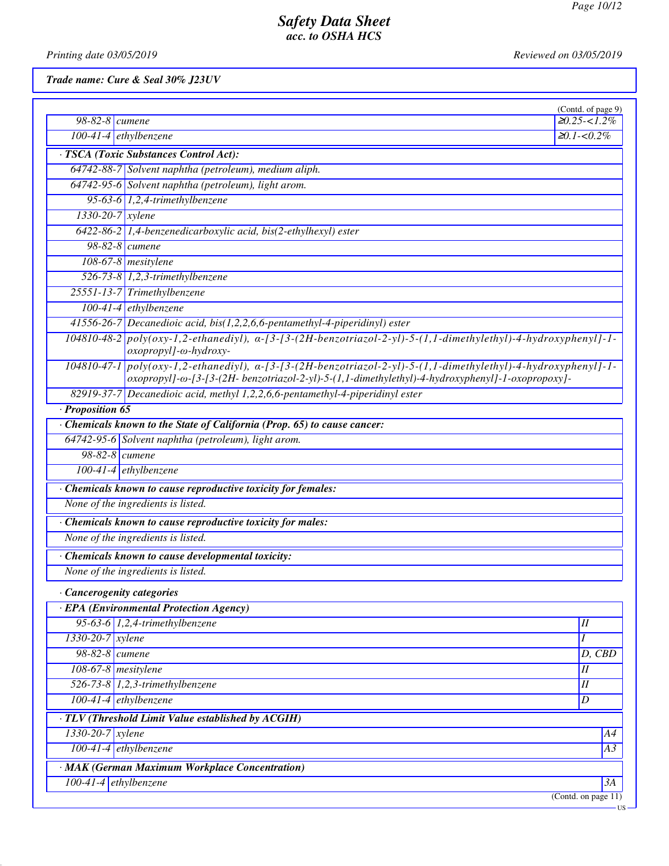*Printing date 03/05/2019 Reviewed on 03/05/2019*

*Trade name: Cure & Seal 30% J23UV*

| $98-82-8$ cumene              |                                                                                                                                                                                                                              | (Contd. of page 9)<br>$\geq 0.25 < 1.2\%$ |
|-------------------------------|------------------------------------------------------------------------------------------------------------------------------------------------------------------------------------------------------------------------------|-------------------------------------------|
| $100-41-4$ ethylbenzene       |                                                                                                                                                                                                                              | $≥0.1 - 0.2\%$                            |
|                               | · TSCA (Toxic Substances Control Act):                                                                                                                                                                                       |                                           |
|                               | 64742-88-7 Solvent naphtha (petroleum), medium aliph.                                                                                                                                                                        |                                           |
|                               | 64742-95-6 Solvent naphtha (petroleum), light arom.                                                                                                                                                                          |                                           |
|                               | 95-63-6 $1,2,4$ -trimethylbenzene                                                                                                                                                                                            |                                           |
| $1330 - 20 - 7$ <i>xylene</i> |                                                                                                                                                                                                                              |                                           |
|                               | 6422-86-2 1,4-benzenedicarboxylic acid, bis(2-ethylhexyl) ester                                                                                                                                                              |                                           |
| 98-82-8 cumene                |                                                                                                                                                                                                                              |                                           |
|                               | 108-67-8 mesitylene                                                                                                                                                                                                          |                                           |
|                               | 526-73-8 $1,2,3$ -trimethylbenzene                                                                                                                                                                                           |                                           |
|                               | 25551-13-7 Trimethylbenzene                                                                                                                                                                                                  |                                           |
|                               | $100-41-4$ ethylbenzene                                                                                                                                                                                                      |                                           |
|                               | 41556-26-7 Decanedioic acid, bis(1,2,2,6,6-pentamethyl-4-piperidinyl) ester                                                                                                                                                  |                                           |
|                               | $104810-48-2$ poly(oxy-1,2-ethanediyl), $\alpha$ -[3-[3-(2H-benzotriazol-2-yl)-5-(1,1-dimethylethyl)-4-hydroxyphenyl]-1-<br>oxopropyl]-ω-hydroxy-                                                                            |                                           |
|                               | $104810-47-1$ poly(oxy-1,2-ethanediyl), $\alpha$ -[3-[3-(2H-benzotriazol-2-yl)-5-(1,1-dimethylethyl)-4-hydroxyphenyl]-1-<br>oxopropyl]-@-[3-[3-(2H- benzotriazol-2-yl)-5-(1,1-dimethylethyl)-4-hydroxyphenyl]-1-oxopropoxy]- |                                           |
|                               | 82919-37-7 Decanedioic acid, methyl 1,2,2,6,6-pentamethyl-4-piperidinyl ester                                                                                                                                                |                                           |
| · Proposition 65              |                                                                                                                                                                                                                              |                                           |
|                               | · Chemicals known to the State of California (Prop. 65) to cause cancer:                                                                                                                                                     |                                           |
|                               | 64742-95-6 Solvent naphtha (petroleum), light arom.                                                                                                                                                                          |                                           |
| 98-82-8 <i>cumene</i>         |                                                                                                                                                                                                                              |                                           |
|                               | $100-41-4$ ethylbenzene                                                                                                                                                                                                      |                                           |
|                               | · Chemicals known to cause reproductive toxicity for females:                                                                                                                                                                |                                           |
|                               | None of the ingredients is listed.                                                                                                                                                                                           |                                           |
|                               | · Chemicals known to cause reproductive toxicity for males:                                                                                                                                                                  |                                           |
|                               | None of the ingredients is listed.                                                                                                                                                                                           |                                           |
|                               | · Chemicals known to cause developmental toxicity:                                                                                                                                                                           |                                           |
|                               | None of the ingredients is listed.                                                                                                                                                                                           |                                           |
| · Cancerogenity categories    |                                                                                                                                                                                                                              |                                           |
|                               | <b>EPA (Environmental Protection Agency)</b>                                                                                                                                                                                 |                                           |
|                               | 95-63-6 $1,2,4$ -trimethylbenzene                                                                                                                                                                                            | $I\!I$                                    |
| 1330-20-7 xylene              |                                                                                                                                                                                                                              | I                                         |
| 98-82-8 <i>cumene</i>         |                                                                                                                                                                                                                              | D, CBD                                    |
| 108-67-8 mesitylene           |                                                                                                                                                                                                                              | $I\!I$                                    |
|                               | 526-73-8 $1,2,3$ -trimethylbenzene                                                                                                                                                                                           | I                                         |
| $100-41-4$ ethylbenzene       |                                                                                                                                                                                                                              | $\boldsymbol{D}$                          |
|                               | · TLV (Threshold Limit Value established by ACGIH)                                                                                                                                                                           |                                           |
| 1330-20-7 xylene              |                                                                                                                                                                                                                              | A4                                        |
| 100-41-4 ethylbenzene         |                                                                                                                                                                                                                              | A3                                        |
|                               | · MAK (German Maximum Workplace Concentration)                                                                                                                                                                               |                                           |
| 100-41-4 ethylbenzene         |                                                                                                                                                                                                                              | 3A                                        |
|                               |                                                                                                                                                                                                                              | $\overline{(\text{Contd. on page 11})}$   |
|                               |                                                                                                                                                                                                                              | – US                                      |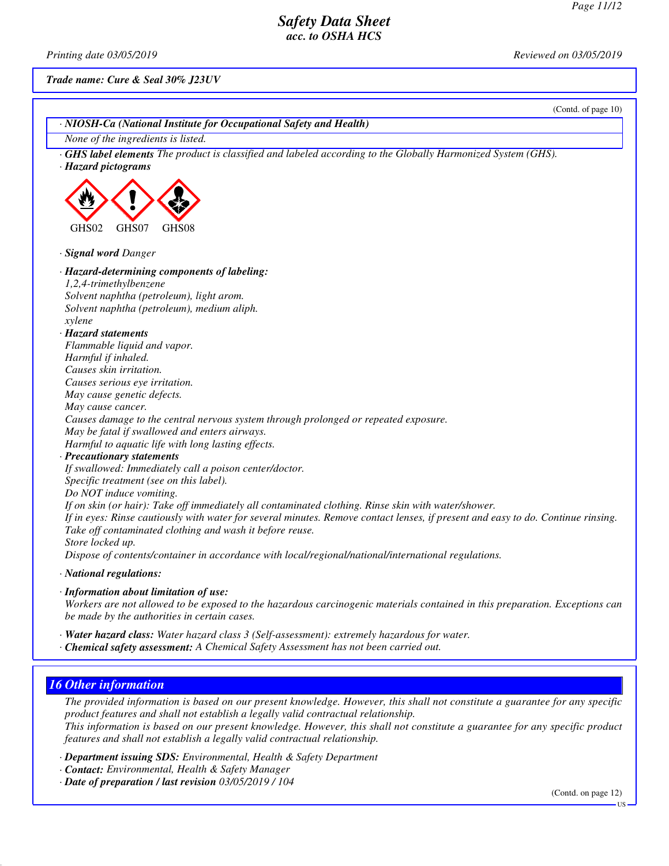*Printing date 03/05/2019 Reviewed on 03/05/2019*

*Trade name: Cure & Seal 30% J23UV*

(Contd. of page 10) *· NIOSH-Ca (National Institute for Occupational Safety and Health) None of the ingredients is listed. · GHS label elements The product is classified and labeled according to the Globally Harmonized System (GHS). · Hazard pictograms* GHS02 GHS07 GHS08 *· Signal word Danger · Hazard-determining components of labeling: 1,2,4-trimethylbenzene Solvent naphtha (petroleum), light arom. Solvent naphtha (petroleum), medium aliph. xylene · Hazard statements Flammable liquid and vapor. Harmful if inhaled. Causes skin irritation. Causes serious eye irritation. May cause genetic defects. May cause cancer. Causes damage to the central nervous system through prolonged or repeated exposure. May be fatal if swallowed and enters airways. Harmful to aquatic life with long lasting effects. · Precautionary statements If swallowed: Immediately call a poison center/doctor. Specific treatment (see on this label). Do NOT induce vomiting. If on skin (or hair): Take off immediately all contaminated clothing. Rinse skin with water/shower. If in eyes: Rinse cautiously with water for several minutes. Remove contact lenses, if present and easy to do. Continue rinsing. Take off contaminated clothing and wash it before reuse. Store locked up. Dispose of contents/container in accordance with local/regional/national/international regulations. · National regulations:*

*· Information about limitation of use:*

*Workers are not allowed to be exposed to the hazardous carcinogenic materials contained in this preparation. Exceptions can be made by the authorities in certain cases.*

*· Water hazard class: Water hazard class 3 (Self-assessment): extremely hazardous for water. · Chemical safety assessment: A Chemical Safety Assessment has not been carried out.*

## *16 Other information*

*The provided information is based on our present knowledge. However, this shall not constitute a guarantee for any specific product features and shall not establish a legally valid contractual relationship. This information is based on our present knowledge. However, this shall not constitute a guarantee for any specific product features and shall not establish a legally valid contractual relationship.*

*· Department issuing SDS: Environmental, Health & Safety Department*

*· Contact: Environmental, Health & Safety Manager*

*· Date of preparation / last revision 03/05/2019 / 104*